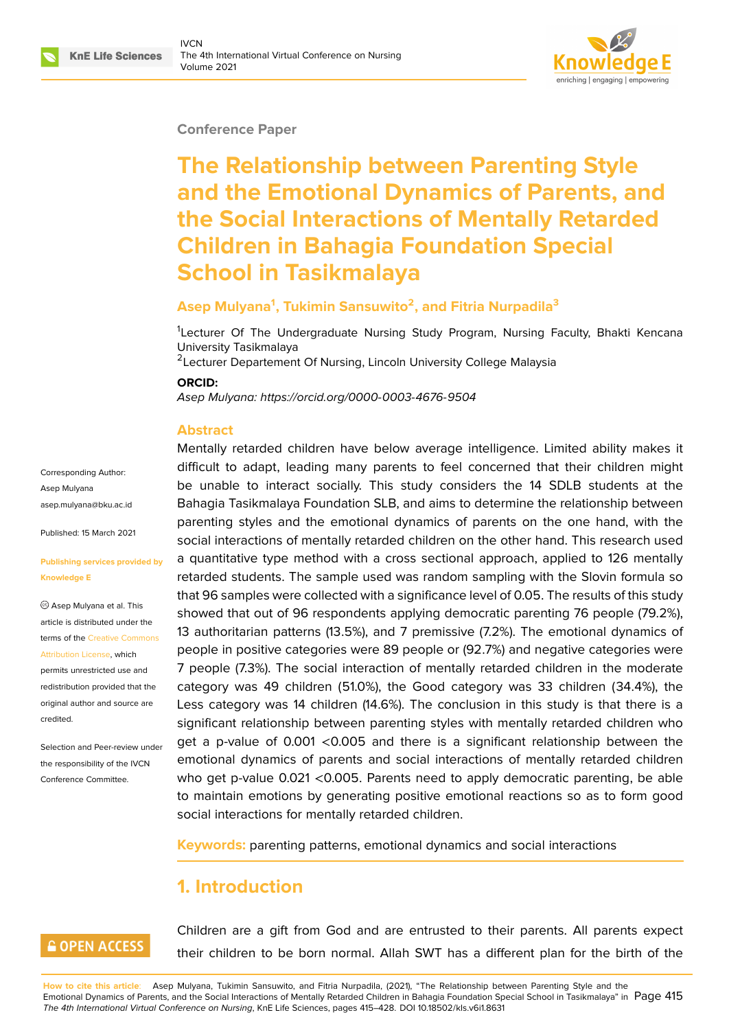#### **Conference Paper**

# **The Relationship between Parenting Style and the Emotional Dynamics of Parents, and the Social Interactions of Mentally Retarded Children in Bahagia Foundation Special School in Tasikmalaya**

#### **Asep Mulyana<sup>1</sup> , Tukimin Sansuwito<sup>2</sup> , and Fitria Nurpadila<sup>3</sup>**

<sup>1</sup>Lecturer Of The Undergraduate Nursing Study Program, Nursing Faculty, Bhakti Kencana University Tasikmalaya

<sup>2</sup> Lecturer Departement Of Nursing, Lincoln University College Malaysia

#### **ORCID:**

*Asep Mulyana: https://orcid.org/0000-0003-4676-9504*

#### **Abstract**

Corresponding Author: Asep Mulyana asep.mulyana@bku.ac.id

Published: 15 March 2021

#### **[Publishing services prov](mailto:asep.mulyana@bku.ac.id)ided by Knowledge E**

Asep Mulyana et al. This article is distributed under the terms of the Creative Commons Attribution License, which

permits unrestricted use and redistribution provided that the original auth[or and source are](https://creativecommons.org/licenses/by/4.0/) [credited.](https://creativecommons.org/licenses/by/4.0/)

Selection and Peer-review under the responsibility of the IVCN Conference Committee.

Mentally retar[ded children have below average in](https://orcid.org/0000-0003-4676-9504)telligence. Limited ability makes it difficult to adapt, leading many parents to feel concerned that their children might be unable to interact socially. This study considers the 14 SDLB students at the Bahagia Tasikmalaya Foundation SLB, and aims to determine the relationship between parenting styles and the emotional dynamics of parents on the one hand, with the social interactions of mentally retarded children on the other hand. This research used a quantitative type method with a cross sectional approach, applied to 126 mentally retarded students. The sample used was random sampling with the Slovin formula so that 96 samples were collected with a significance level of 0.05. The results of this study showed that out of 96 respondents applying democratic parenting 76 people (79.2%), 13 authoritarian patterns (13.5%), and 7 premissive (7.2%). The emotional dynamics of people in positive categories were 89 people or (92.7%) and negative categories were 7 people (7.3%). The social interaction of mentally retarded children in the moderate category was 49 children (51.0%), the Good category was 33 children (34.4%), the Less category was 14 children (14.6%). The conclusion in this study is that there is a significant relationship between parenting styles with mentally retarded children who get a p-value of 0.001 <0.005 and there is a significant relationship between the emotional dynamics of parents and social interactions of mentally retarded children who get p-value 0.021 <0.005. Parents need to apply democratic parenting, be able to maintain emotions by generating positive emotional reactions so as to form good social interactions for mentally retarded children.

**Keywords:** parenting patterns, emotional dynamics and social interactions

# **1. Introduction**

## **GOPEN ACCESS**

Children are a gift from God and are entrusted to their parents. All parents expect their children to be born normal. Allah SWT has a different plan for the birth of the

**How to cite this article**: Asep Mulyana, Tukimin Sansuwito, and Fitria Nurpadila, (2021), "The Relationship between Parenting Style and the Emotional Dynamics of Parents, and the Social Interactions of Mentally Retarded Children in Bahagia Foundation Special School in Tasikmalaya" in Page 415 *The 4th International Virtual Conference on Nursing*, KnE Life Sciences, pages 415–428. DOI 10.18502/kls.v6i1.8631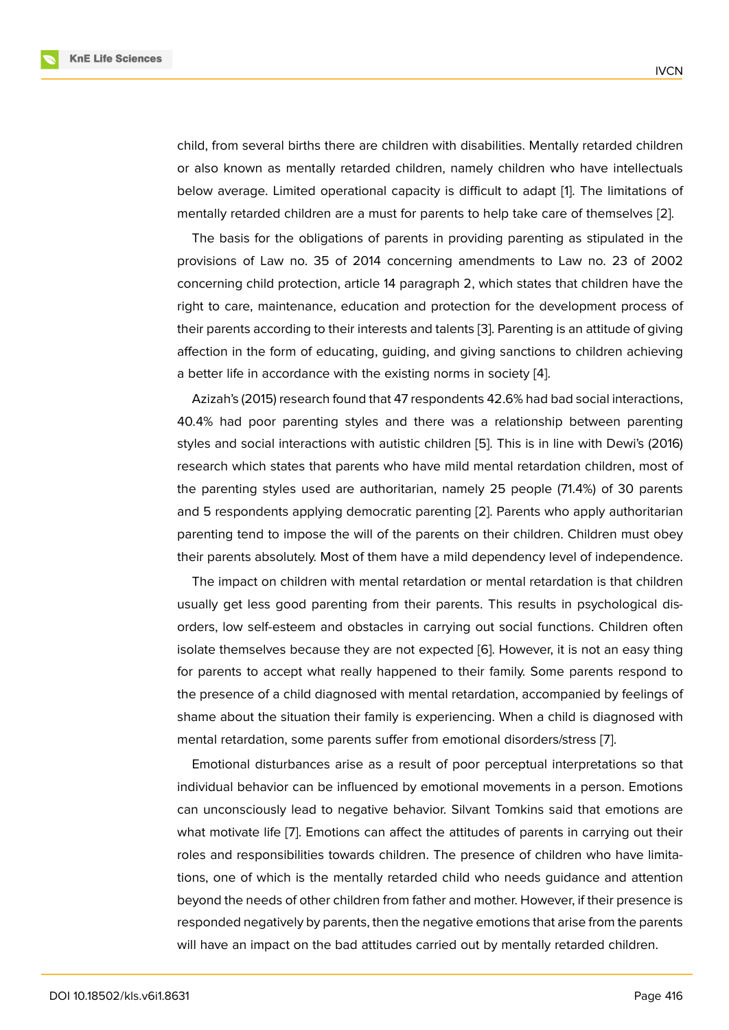child, from several births there are children with disabilities. Mentally retarded children or also known as mentally retarded children, namely children who have intellectuals below average. Limited operational capacity is difficult to adapt [1]. The limitations of mentally retarded children are a must for parents to help take care of themselves [2].

The basis for the obligations of parents in providing parenting as stipulated in the provisions of Law no. 35 of 2014 concerning amendments to [La](#page-12-0)w no. 23 of 2002 concerning child protection, article 14 paragraph 2, which states that children have [t](#page-12-1)he right to care, maintenance, education and protection for the development process of their parents according to their interests and talents [3]. Parenting is an attitude of giving affection in the form of educating, guiding, and giving sanctions to children achieving a better life in accordance with the existing norms in society [4].

Azizah's (2015) research found that 47 respondent[s 4](#page-12-2)2.6% had bad social interactions, 40.4% had poor parenting styles and there was a relationship between parenting styles and social interactions with autistic children [5]. This is [in](#page-12-3) line with Dewi's (2016) research which states that parents who have mild mental retardation children, most of the parenting styles used are authoritarian, namely 25 people (71.4%) of 30 parents and 5 respondents applying democratic parenting [\[2\]](#page-12-4). Parents who apply authoritarian parenting tend to impose the will of the parents on their children. Children must obey their parents absolutely. Most of them have a mild dependency level of independence.

The impact on children with mental retardation o[r m](#page-12-1)ental retardation is that children usually get less good parenting from their parents. This results in psychological disorders, low self-esteem and obstacles in carrying out social functions. Children often isolate themselves because they are not expected [6]. However, it is not an easy thing for parents to accept what really happened to their family. Some parents respond to the presence of a child diagnosed with mental retardation, accompanied by feelings of shame about the situation their family is experienci[ng](#page-12-5). When a child is diagnosed with mental retardation, some parents suffer from emotional disorders/stress [7].

Emotional disturbances arise as a result of poor perceptual interpretations so that individual behavior can be influenced by emotional movements in a person. Emotions can unconsciously lead to negative behavior. Silvant Tomkins said that [e](#page-13-0)motions are what motivate life [7]. Emotions can affect the attitudes of parents in carrying out their roles and responsibilities towards children. The presence of children who have limitations, one of which is the mentally retarded child who needs guidance and attention beyond the needs [of](#page-13-0) other children from father and mother. However, if their presence is responded negatively by parents, then the negative emotions that arise from the parents will have an impact on the bad attitudes carried out by mentally retarded children.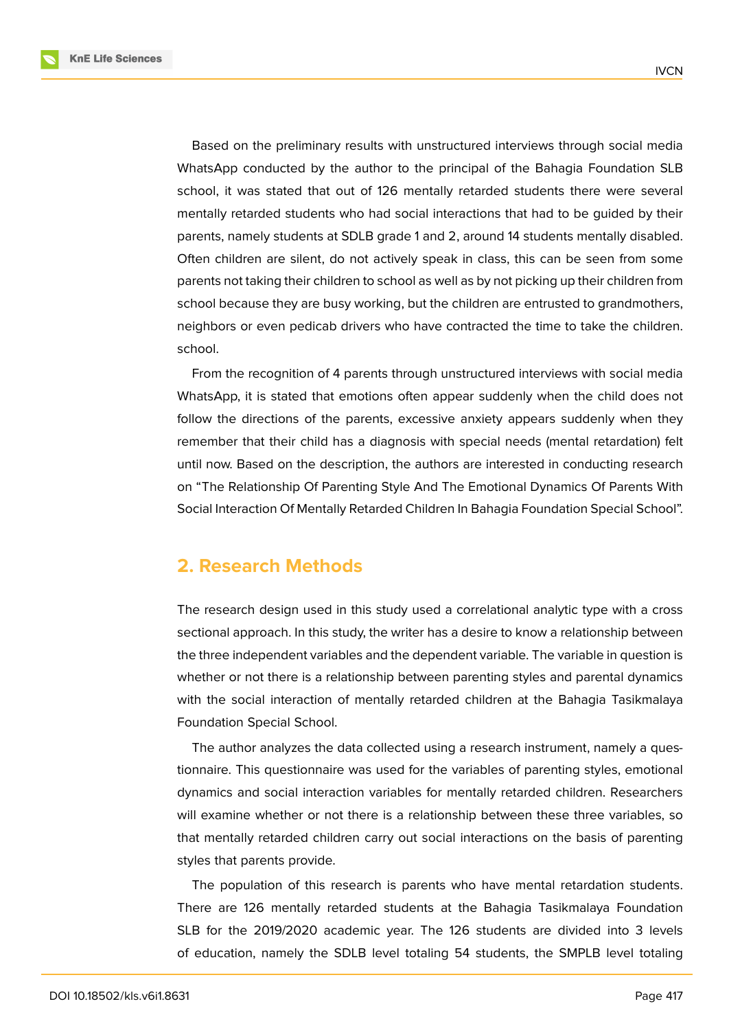**KnE Life Sciences** 

Based on the preliminary results with unstructured interviews through social media WhatsApp conducted by the author to the principal of the Bahagia Foundation SLB school, it was stated that out of 126 mentally retarded students there were several mentally retarded students who had social interactions that had to be guided by their parents, namely students at SDLB grade 1 and 2, around 14 students mentally disabled. Often children are silent, do not actively speak in class, this can be seen from some parents not taking their children to school as well as by not picking up their children from school because they are busy working, but the children are entrusted to grandmothers, neighbors or even pedicab drivers who have contracted the time to take the children. school.

From the recognition of 4 parents through unstructured interviews with social media WhatsApp, it is stated that emotions often appear suddenly when the child does not follow the directions of the parents, excessive anxiety appears suddenly when they remember that their child has a diagnosis with special needs (mental retardation) felt until now. Based on the description, the authors are interested in conducting research on "The Relationship Of Parenting Style And The Emotional Dynamics Of Parents With Social Interaction Of Mentally Retarded Children In Bahagia Foundation Special School".

# **2. Research Methods**

The research design used in this study used a correlational analytic type with a cross sectional approach. In this study, the writer has a desire to know a relationship between the three independent variables and the dependent variable. The variable in question is whether or not there is a relationship between parenting styles and parental dynamics with the social interaction of mentally retarded children at the Bahagia Tasikmalaya Foundation Special School.

The author analyzes the data collected using a research instrument, namely a questionnaire. This questionnaire was used for the variables of parenting styles, emotional dynamics and social interaction variables for mentally retarded children. Researchers will examine whether or not there is a relationship between these three variables, so that mentally retarded children carry out social interactions on the basis of parenting styles that parents provide.

The population of this research is parents who have mental retardation students. There are 126 mentally retarded students at the Bahagia Tasikmalaya Foundation SLB for the 2019/2020 academic year. The 126 students are divided into 3 levels of education, namely the SDLB level totaling 54 students, the SMPLB level totaling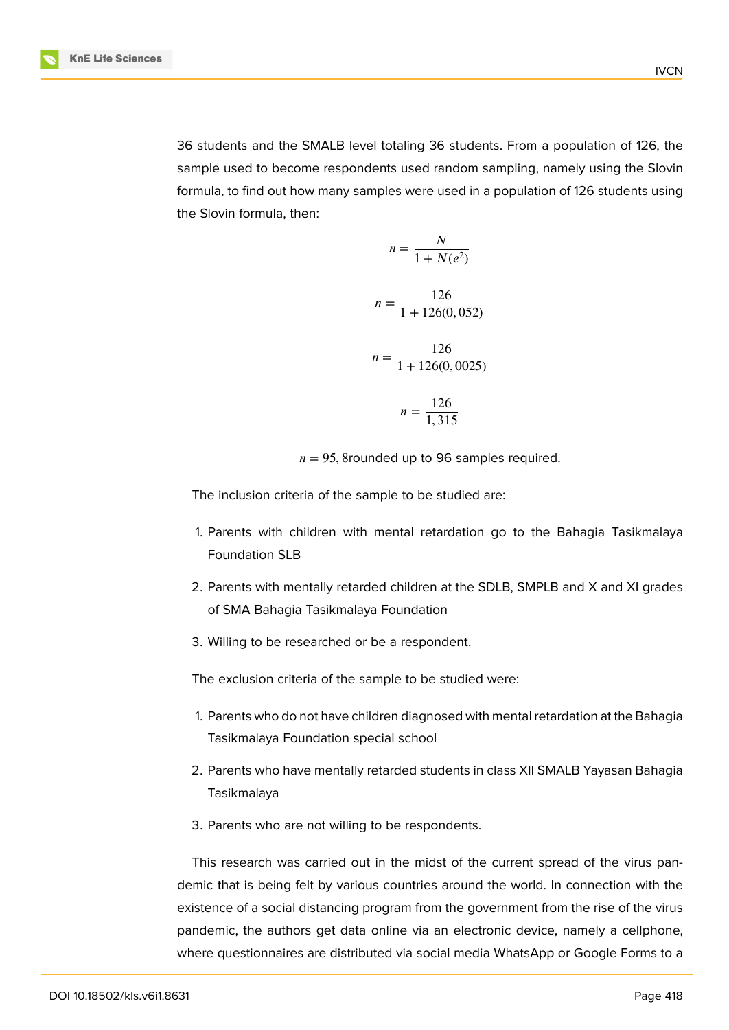36 students and the SMALB level totaling 36 students. From a population of 126, the sample used to become respondents used random sampling, namely using the Slovin formula, to find out how many samples were used in a population of 126 students using the Slovin formula, then:

$$
n = \frac{N}{1 + N(e^2)}
$$
  

$$
n = \frac{126}{1 + 126(0, 052)}
$$
  

$$
n = \frac{126}{1 + 126(0, 0025)}
$$
  

$$
n = \frac{126}{1,315}
$$

 $n = 95$ , 8rounded up to 96 samples required.

The inclusion criteria of the sample to be studied are:

- 1. Parents with children with mental retardation go to the Bahagia Tasikmalaya Foundation SLB
- 2. Parents with mentally retarded children at the SDLB, SMPLB and X and XI grades of SMA Bahagia Tasikmalaya Foundation
- 3. Willing to be researched or be a respondent.

The exclusion criteria of the sample to be studied were:

- 1. Parents who do not have children diagnosed with mental retardation at the Bahagia Tasikmalaya Foundation special school
- 2. Parents who have mentally retarded students in class XII SMALB Yayasan Bahagia Tasikmalaya
- 3. Parents who are not willing to be respondents.

This research was carried out in the midst of the current spread of the virus pandemic that is being felt by various countries around the world. In connection with the existence of a social distancing program from the government from the rise of the virus pandemic, the authors get data online via an electronic device, namely a cellphone, where questionnaires are distributed via social media WhatsApp or Google Forms to a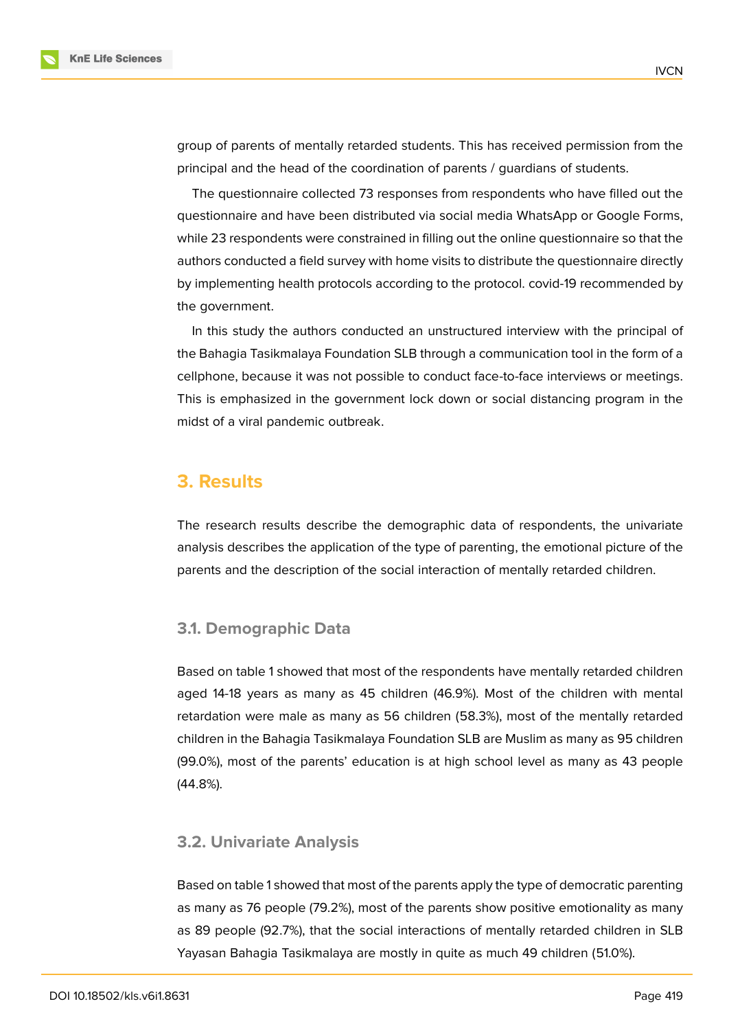group of parents of mentally retarded students. This has received permission from the principal and the head of the coordination of parents / guardians of students.

The questionnaire collected 73 responses from respondents who have filled out the questionnaire and have been distributed via social media WhatsApp or Google Forms, while 23 respondents were constrained in filling out the online questionnaire so that the authors conducted a field survey with home visits to distribute the questionnaire directly by implementing health protocols according to the protocol. covid-19 recommended by the government.

In this study the authors conducted an unstructured interview with the principal of the Bahagia Tasikmalaya Foundation SLB through a communication tool in the form of a cellphone, because it was not possible to conduct face-to-face interviews or meetings. This is emphasized in the government lock down or social distancing program in the midst of a viral pandemic outbreak.

## **3. Results**

The research results describe the demographic data of respondents, the univariate analysis describes the application of the type of parenting, the emotional picture of the parents and the description of the social interaction of mentally retarded children.

#### **3.1. Demographic Data**

Based on table 1 showed that most of the respondents have mentally retarded children aged 14-18 years as many as 45 children (46.9%). Most of the children with mental retardation were male as many as 56 children (58.3%), most of the mentally retarded children in the Bahagia Tasikmalaya Foundation SLB are Muslim as many as 95 children (99.0%), most of the parents' education is at high school level as many as 43 people (44.8%).

#### **3.2. Univariate Analysis**

Based on table 1 showed that most of the parents apply the type of democratic parenting as many as 76 people (79.2%), most of the parents show positive emotionality as many as 89 people (92.7%), that the social interactions of mentally retarded children in SLB Yayasan Bahagia Tasikmalaya are mostly in quite as much 49 children (51.0%).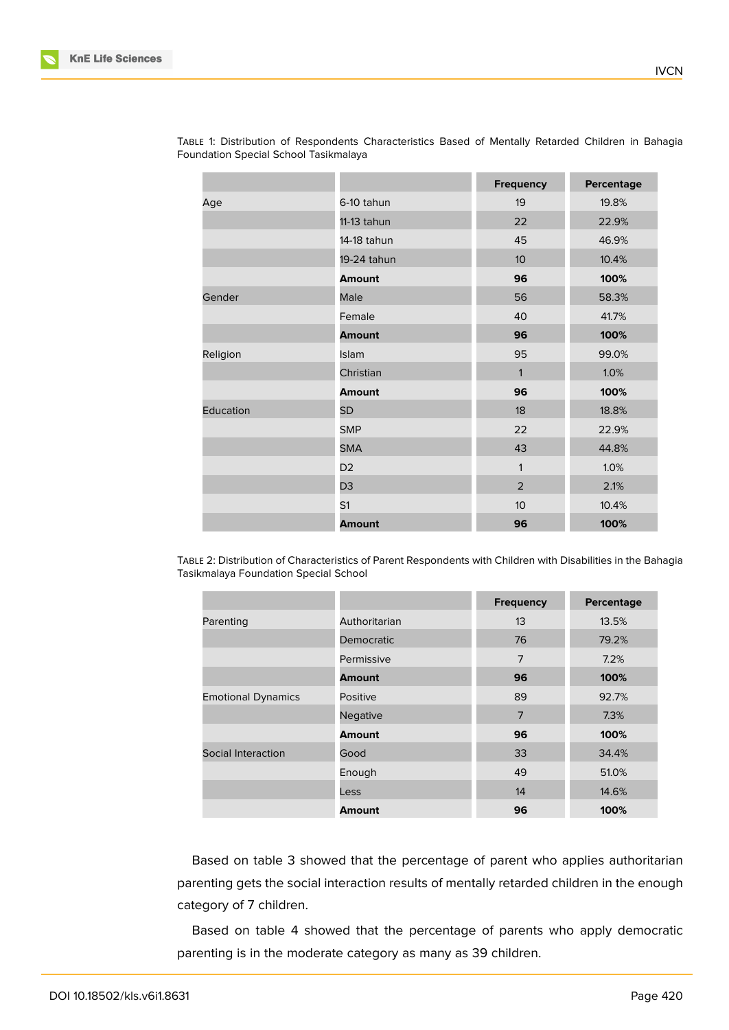|           |                | <b>Frequency</b> | Percentage |
|-----------|----------------|------------------|------------|
| Age       | 6-10 tahun     | 19               | 19.8%      |
|           | 11-13 tahun    | 22               | 22.9%      |
|           | 14-18 tahun    | 45               | 46.9%      |
|           | 19-24 tahun    | 10 <sup>°</sup>  | 10.4%      |
|           | <b>Amount</b>  | 96               | 100%       |
| Gender    | Male           | 56               | 58.3%      |
|           | Female         | 40               | 41.7%      |
|           | <b>Amount</b>  | 96               | 100%       |
| Religion  | Islam          | 95               | 99.0%      |
|           | Christian      | 1                | 1.0%       |
|           | <b>Amount</b>  | 96               | 100%       |
| Education | <b>SD</b>      | 18               | 18.8%      |
|           | <b>SMP</b>     | 22               | 22.9%      |
|           | <b>SMA</b>     | 43               | 44.8%      |
|           | D <sub>2</sub> | 1                | 1.0%       |
|           | D <sub>3</sub> | 2                | 2.1%       |
|           | S <sub>1</sub> | 10 <sup>°</sup>  | 10.4%      |
|           | <b>Amount</b>  | 96               | 100%       |

TABLE 1: Distribution of Respondents Characteristics Based of Mentally Retarded Children in Bahagia Foundation Special School Tasikmalaya

TABLE 2: Distribution of Characteristics of Parent Respondents with Children with Disabilities in the Bahagia Tasikmalaya Foundation Special School

|                           |                 | <b>Frequency</b> | Percentage |
|---------------------------|-----------------|------------------|------------|
| Parenting                 | Authoritarian   | 13               | 13.5%      |
|                           | Democratic      | 76               | 79.2%      |
|                           | Permissive      | $\overline{7}$   | 7.2%       |
|                           | <b>Amount</b>   | 96               | 100%       |
| <b>Emotional Dynamics</b> | Positive        | 89               | 92.7%      |
|                           | <b>Negative</b> | $\overline{7}$   | 7.3%       |
|                           | Amount          | 96               | 100%       |
| Social Interaction        | Good            | 33               | 34.4%      |
|                           | Enough          | 49               | 51.0%      |
|                           | Less            | 14               | 14.6%      |
|                           | <b>Amount</b>   | 96               | 100%       |

Based on table 3 showed that the percentage of parent who applies authoritarian parenting gets the social interaction results of mentally retarded children in the enough category of 7 children.

Based on table 4 showed that the percentage of parents who apply democratic parenting is in the moderate category as many as 39 children.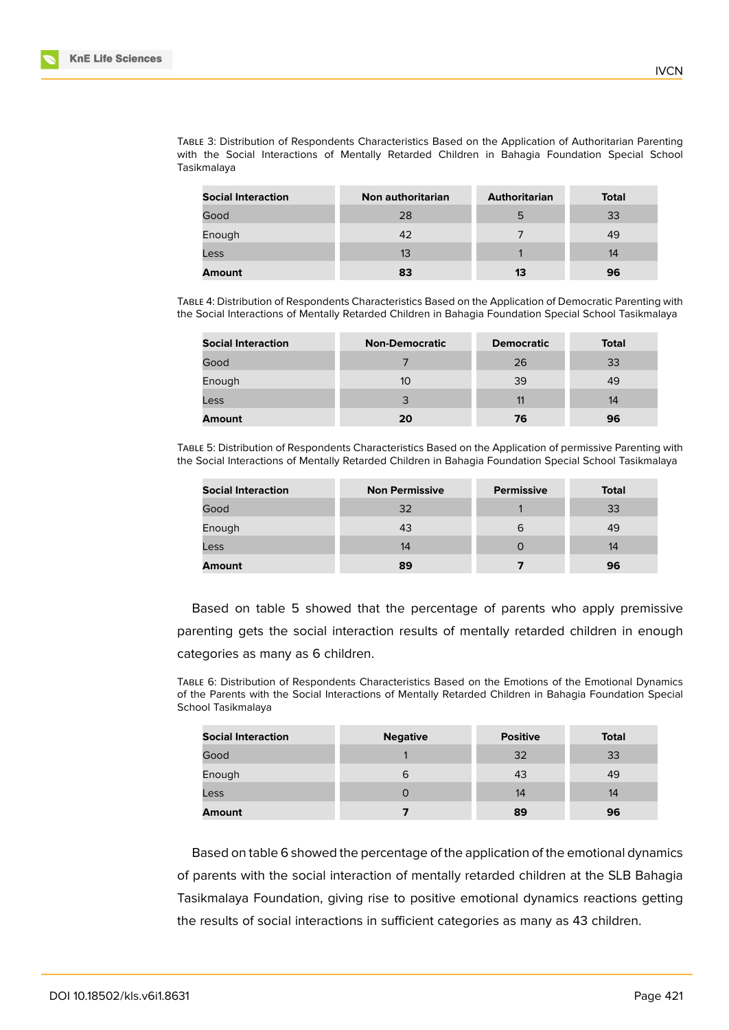TABLE 3: Distribution of Respondents Characteristics Based on the Application of Authoritarian Parenting with the Social Interactions of Mentally Retarded Children in Bahagia Foundation Special School Tasikmalaya

| <b>Social Interaction</b> | Non authoritarian | <b>Authoritarian</b> | <b>Total</b> |
|---------------------------|-------------------|----------------------|--------------|
| Good                      | 28                | 5                    | 33           |
| Enough                    | 42                |                      | 49           |
| Less                      | 13                |                      | 14           |
| <b>Amount</b>             | 83                | 13                   | 96           |

TABLE 4: Distribution of Respondents Characteristics Based on the Application of Democratic Parenting with the Social Interactions of Mentally Retarded Children in Bahagia Foundation Special School Tasikmalaya

| <b>Social Interaction</b> | <b>Non-Democratic</b> | <b>Democratic</b> | <b>Total</b> |
|---------------------------|-----------------------|-------------------|--------------|
| Good                      |                       | 26                | 33           |
| Enough                    | 10                    | 39                | 49           |
| Less                      | 3                     | 11                | 14           |
| <b>Amount</b>             | 20                    | 76                | 96           |

TABLE 5: Distribution of Respondents Characteristics Based on the Application of permissive Parenting with the Social Interactions of Mentally Retarded Children in Bahagia Foundation Special School Tasikmalaya

| <b>Social Interaction</b> | <b>Non Permissive</b> | <b>Permissive</b> | <b>Total</b> |
|---------------------------|-----------------------|-------------------|--------------|
| Good                      | 32                    |                   | 33           |
| Enough                    | 43                    | 6                 | 49           |
| Less                      | 14                    | 0                 | 14           |
| <b>Amount</b>             | 89                    |                   | 96           |

Based on table 5 showed that the percentage of parents who apply premissive parenting gets the social interaction results of mentally retarded children in enough categories as many as 6 children.

TABLE 6: Distribution of Respondents Characteristics Based on the Emotions of the Emotional Dynamics of the Parents with the Social Interactions of Mentally Retarded Children in Bahagia Foundation Special School Tasikmalaya

| <b>Social Interaction</b> | <b>Negative</b> | <b>Positive</b> | <b>Total</b> |
|---------------------------|-----------------|-----------------|--------------|
| Good                      |                 | 32              | 33           |
| Enough                    | 6               | 43              | 49           |
| Less                      |                 | 14              | 14           |
| <b>Amount</b>             |                 | 89              | 96           |

Based on table 6 showed the percentage of the application of the emotional dynamics of parents with the social interaction of mentally retarded children at the SLB Bahagia Tasikmalaya Foundation, giving rise to positive emotional dynamics reactions getting the results of social interactions in sufficient categories as many as 43 children.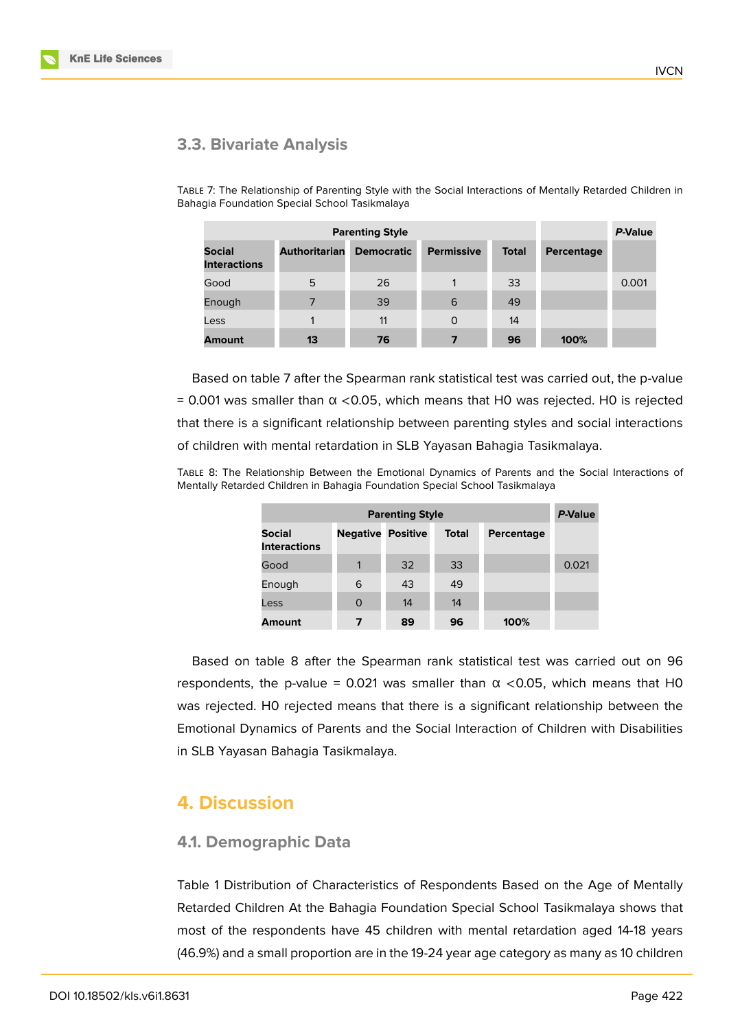

## **3.3. Bivariate Analysis**

TABLE 7: The Relationship of Parenting Style with the Social Interactions of Mentally Retarded Children in Bahagia Foundation Special School Tasikmalaya

|                                      |                      | P-Value           |                   |              |            |       |
|--------------------------------------|----------------------|-------------------|-------------------|--------------|------------|-------|
| <b>Social</b><br><b>Interactions</b> | <b>Authoritarian</b> | <b>Democratic</b> | <b>Permissive</b> | <b>Total</b> | Percentage |       |
| Good                                 | 5                    | 26                | 1                 | 33           |            | 0.001 |
| Enough                               | 7                    | 39                | 6                 | 49           |            |       |
| Less                                 |                      | 11                | $\Omega$          | 14           |            |       |
| <b>Amount</b>                        | 13                   | 76                | 7                 | 96           | 100%       |       |

Based on table 7 after the Spearman rank statistical test was carried out, the p-value = 0.001 was smaller than  $\alpha$  <0.05, which means that H0 was rejected. H0 is rejected that there is a significant relationship between parenting styles and social interactions of children with mental retardation in SLB Yayasan Bahagia Tasikmalaya.

TABLE 8: The Relationship Between the Emotional Dynamics of Parents and the Social Interactions of Mentally Retarded Children in Bahagia Foundation Special School Tasikmalaya

| <b>Parenting Style</b>               |                 |                 |              |            | P-Value |
|--------------------------------------|-----------------|-----------------|--------------|------------|---------|
| <b>Social</b><br><b>Interactions</b> | <b>Negative</b> | <b>Positive</b> | <b>Total</b> | Percentage |         |
| Good                                 | 1               | 32              | 33           |            | 0.021   |
| Enough                               | 6               | 43              | 49           |            |         |
| Less                                 | 0               | 14              | 14           |            |         |
| <b>Amount</b>                        | 7               | 89              | 96           | 100%       |         |

Based on table 8 after the Spearman rank statistical test was carried out on 96 respondents, the p-value = 0.021 was smaller than  $\alpha$  <0.05, which means that H0 was rejected. H0 rejected means that there is a significant relationship between the Emotional Dynamics of Parents and the Social Interaction of Children with Disabilities in SLB Yayasan Bahagia Tasikmalaya.

## **4. Discussion**

## **4.1. Demographic Data**

Table 1 Distribution of Characteristics of Respondents Based on the Age of Mentally Retarded Children At the Bahagia Foundation Special School Tasikmalaya shows that most of the respondents have 45 children with mental retardation aged 14-18 years (46.9%) and a small proportion are in the 19-24 year age category as many as 10 children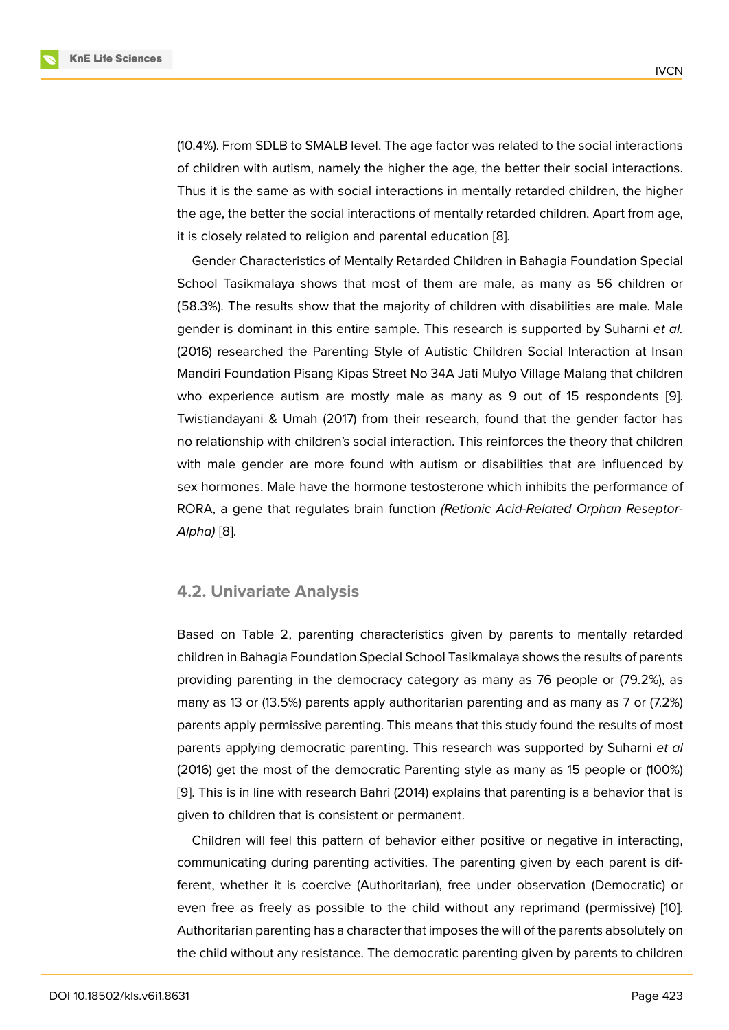(10.4%). From SDLB to SMALB level. The age factor was related to the social interactions of children with autism, namely the higher the age, the better their social interactions. Thus it is the same as with social interactions in mentally retarded children, the higher the age, the better the social interactions of mentally retarded children. Apart from age, it is closely related to religion and parental education [8].

Gender Characteristics of Mentally Retarded Children in Bahagia Foundation Special School Tasikmalaya shows that most of them are male, as many as 56 children or (58.3%). The results show that the majority of childre[n w](#page-13-1)ith disabilities are male. Male gender is dominant in this entire sample. This research is supported by Suharni *et al.* (2016) researched the Parenting Style of Autistic Children Social Interaction at Insan Mandiri Foundation Pisang Kipas Street No 34A Jati Mulyo Village Malang that children who experience autism are mostly male as many as 9 out of 15 respondents [9]. Twistiandayani & Umah (2017) from their research, found that the gender factor has no relationship with children's social interaction. This reinforces the theory that children with male gender are more found with autism or disabilities that are influenced [by](#page-13-2) sex hormones. Male have the hormone testosterone which inhibits the performance of RORA, a gene that regulates brain function *(Retionic Acid-Related Orphan Reseptor-Alpha)* [8].

## **4.2. [Un](#page-13-1)ivariate Analysis**

Based on Table 2, parenting characteristics given by parents to mentally retarded children in Bahagia Foundation Special School Tasikmalaya shows the results of parents providing parenting in the democracy category as many as 76 people or (79.2%), as many as 13 or (13.5%) parents apply authoritarian parenting and as many as 7 or (7.2%) parents apply permissive parenting. This means that this study found the results of most parents applying democratic parenting. This research was supported by Suharni *et al* (2016) get the most of the democratic Parenting style as many as 15 people or (100%) [9]. This is in line with research Bahri (2014) explains that parenting is a behavior that is given to children that is consistent or permanent.

Children will feel this pattern of behavior either positive or negative in interacting, [co](#page-13-2)mmunicating during parenting activities. The parenting given by each parent is different, whether it is coercive (Authoritarian), free under observation (Democratic) or even free as freely as possible to the child without any reprimand (permissive) [10]. Authoritarian parenting has a character that imposes the will of the parents absolutely on the child without any resistance. The democratic parenting given by parents to children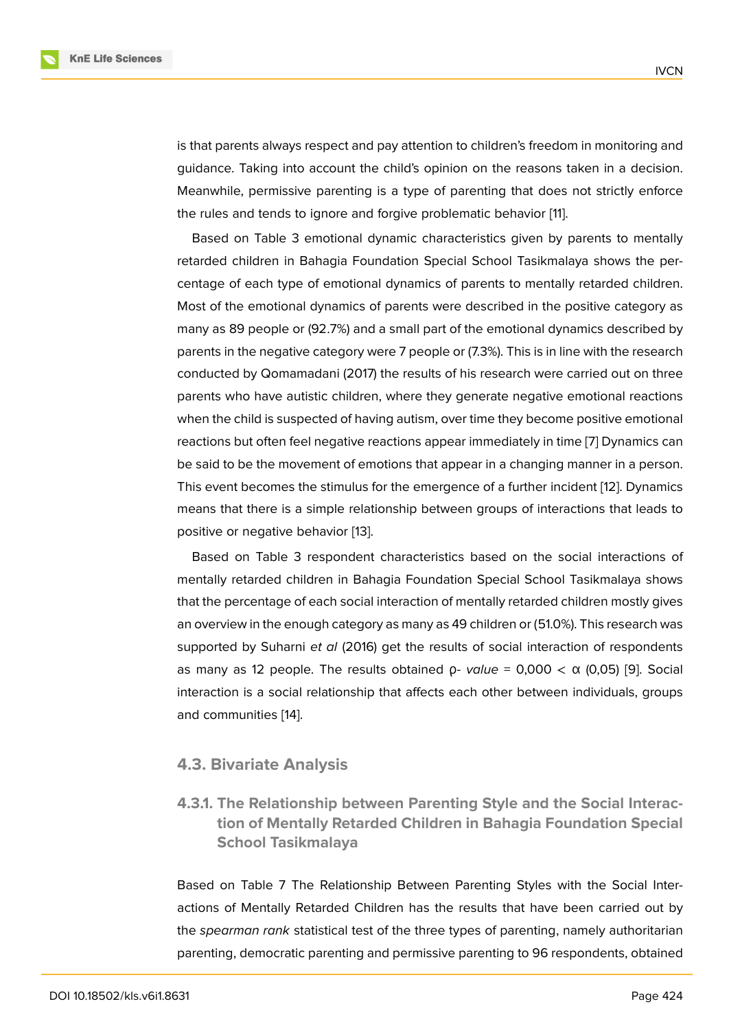is that parents always respect and pay attention to children's freedom in monitoring and guidance. Taking into account the child's opinion on the reasons taken in a decision. Meanwhile, permissive parenting is a type of parenting that does not strictly enforce the rules and tends to ignore and forgive problematic behavior [11].

Based on Table 3 emotional dynamic characteristics given by parents to mentally retarded children in Bahagia Foundation Special School Tasikmalaya shows the percentage of each type of emotional dynamics of parents to men[ta](#page-13-3)lly retarded children. Most of the emotional dynamics of parents were described in the positive category as many as 89 people or (92.7%) and a small part of the emotional dynamics described by parents in the negative category were 7 people or (7.3%). This is in line with the research conducted by Qomamadani (2017) the results of his research were carried out on three parents who have autistic children, where they generate negative emotional reactions when the child is suspected of having autism, over time they become positive emotional reactions but often feel negative reactions appear immediately in time [7] Dynamics can be said to be the movement of emotions that appear in a changing manner in a person. This event becomes the stimulus for the emergence of a further incident [12]. Dynamics means that there is a simple relationship between groups of interacti[on](#page-13-0)s that leads to positive or negative behavior [13].

Based on Table 3 respondent characteristics based on the social i[nte](#page-13-4)ractions of mentally retarded children in Bahagia Foundation Special School Tasikmalaya shows that the percentage of each so[cia](#page-13-5)l interaction of mentally retarded children mostly gives an overview in the enough category as many as 49 children or (51.0%). This research was supported by Suharni *et al* (2016) get the results of social interaction of respondents as many as 12 people. The results obtained ρ*- value* = 0,000 < α (0,05) [9]. Social interaction is a social relationship that affects each other between individuals, groups and communities [14].

#### **4.3. Bivariate [An](#page-13-6)alysis**

**4.3.1. The Relationship between Parenting Style and the Social Interaction of Mentally Retarded Children in Bahagia Foundation Special School Tasikmalaya**

Based on Table 7 The Relationship Between Parenting Styles with the Social Interactions of Mentally Retarded Children has the results that have been carried out by the *spearman rank* statistical test of the three types of parenting, namely authoritarian parenting, democratic parenting and permissive parenting to 96 respondents, obtained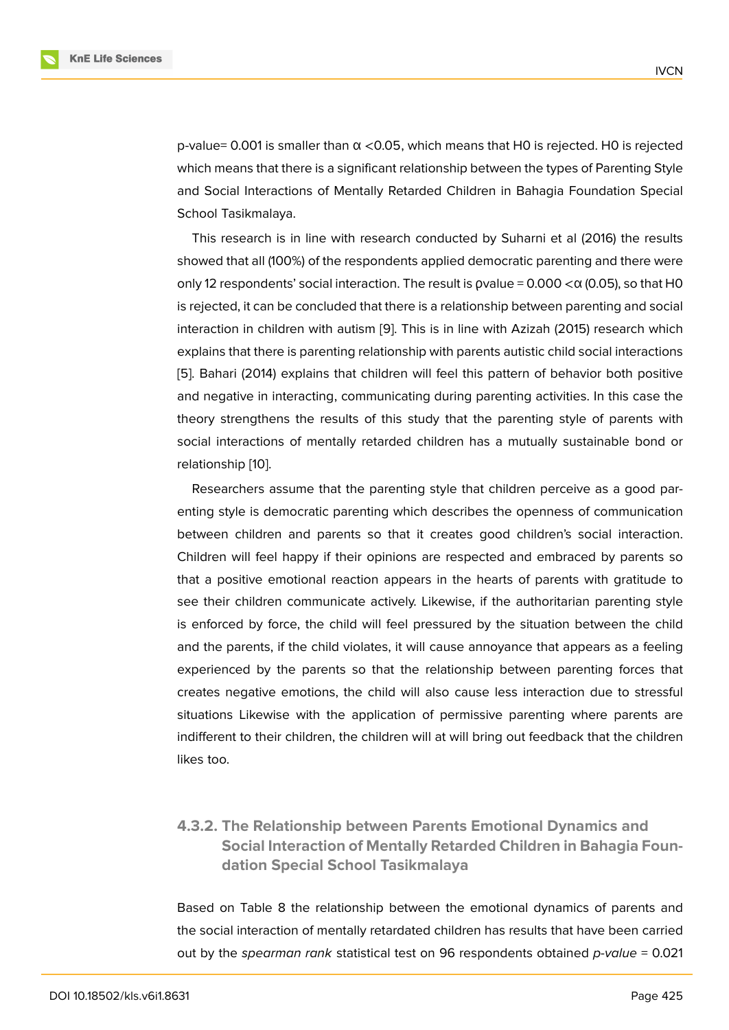$p$ -value= 0.001 is smaller than  $\alpha$  <0.05, which means that H0 is rejected. H0 is rejected which means that there is a significant relationship between the types of Parenting Style and Social Interactions of Mentally Retarded Children in Bahagia Foundation Special School Tasikmalaya.

This research is in line with research conducted by Suharni et al (2016) the results showed that all (100%) of the respondents applied democratic parenting and there were only 12 respondents' social interaction. The result is  $p$ value = 0.000  $<\alpha$  (0.05), so that H0 is rejected, it can be concluded that there is a relationship between parenting and social interaction in children with autism [9]. This is in line with Azizah (2015) research which explains that there is parenting relationship with parents autistic child social interactions [5]. Bahari (2014) explains that children will feel this pattern of behavior both positive and negative in interacting, comm[un](#page-13-2)icating during parenting activities. In this case the theory strengthens the results of this study that the parenting style of parents with [so](#page-12-4)cial interactions of mentally retarded children has a mutually sustainable bond or relationship [10].

Researchers assume that the parenting style that children perceive as a good parenting style is democratic parenting which describes the openness of communication between ch[ildr](#page-13-7)en and parents so that it creates good children's social interaction. Children will feel happy if their opinions are respected and embraced by parents so that a positive emotional reaction appears in the hearts of parents with gratitude to see their children communicate actively. Likewise, if the authoritarian parenting style is enforced by force, the child will feel pressured by the situation between the child and the parents, if the child violates, it will cause annoyance that appears as a feeling experienced by the parents so that the relationship between parenting forces that creates negative emotions, the child will also cause less interaction due to stressful situations Likewise with the application of permissive parenting where parents are indifferent to their children, the children will at will bring out feedback that the children likes too.

## **4.3.2. The Relationship between Parents Emotional Dynamics and Social Interaction of Mentally Retarded Children in Bahagia Foundation Special School Tasikmalaya**

Based on Table 8 the relationship between the emotional dynamics of parents and the social interaction of mentally retardated children has results that have been carried out by the *spearman rank* statistical test on 96 respondents obtained *p-value* = 0.021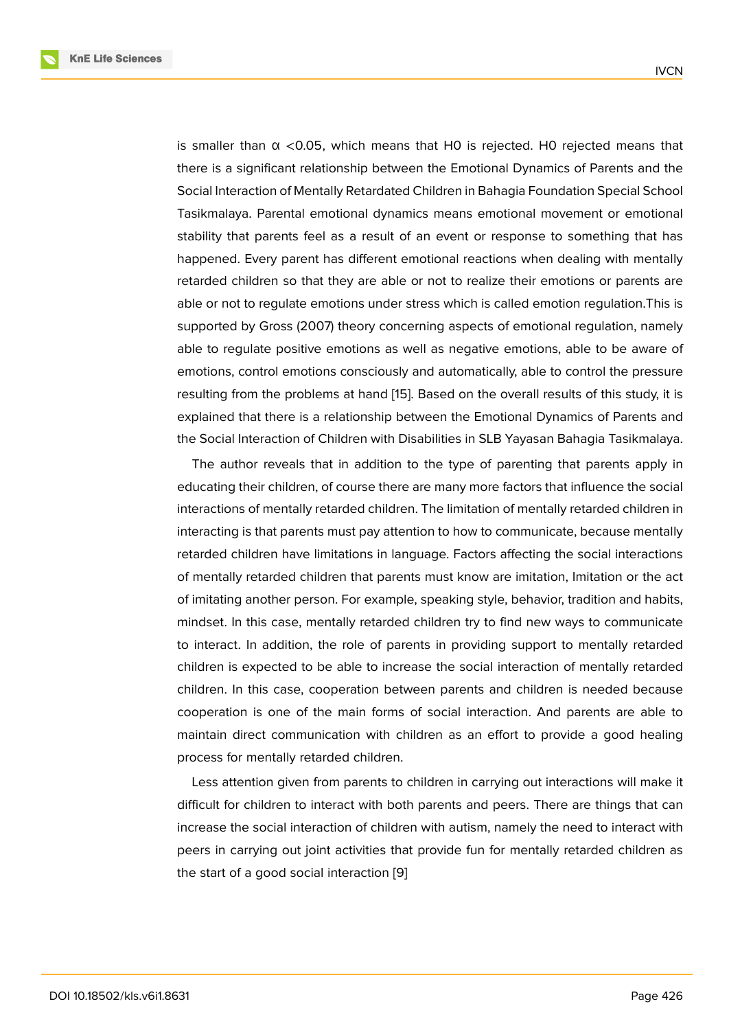is smaller than α <0.05, which means that H0 is rejected. H0 rejected means that there is a significant relationship between the Emotional Dynamics of Parents and the Social Interaction of Mentally Retardated Children in Bahagia Foundation Special School Tasikmalaya. Parental emotional dynamics means emotional movement or emotional stability that parents feel as a result of an event or response to something that has happened. Every parent has different emotional reactions when dealing with mentally retarded children so that they are able or not to realize their emotions or parents are able or not to regulate emotions under stress which is called emotion regulation.This is supported by Gross (2007) theory concerning aspects of emotional regulation, namely able to regulate positive emotions as well as negative emotions, able to be aware of emotions, control emotions consciously and automatically, able to control the pressure resulting from the problems at hand [15]. Based on the overall results of this study, it is explained that there is a relationship between the Emotional Dynamics of Parents and the Social Interaction of Children with Disabilities in SLB Yayasan Bahagia Tasikmalaya.

The author reveals that in additio[n t](#page-13-8)o the type of parenting that parents apply in educating their children, of course there are many more factors that influence the social interactions of mentally retarded children. The limitation of mentally retarded children in interacting is that parents must pay attention to how to communicate, because mentally retarded children have limitations in language. Factors affecting the social interactions of mentally retarded children that parents must know are imitation, Imitation or the act of imitating another person. For example, speaking style, behavior, tradition and habits, mindset. In this case, mentally retarded children try to find new ways to communicate to interact. In addition, the role of parents in providing support to mentally retarded children is expected to be able to increase the social interaction of mentally retarded children. In this case, cooperation between parents and children is needed because cooperation is one of the main forms of social interaction. And parents are able to maintain direct communication with children as an effort to provide a good healing process for mentally retarded children.

Less attention given from parents to children in carrying out interactions will make it difficult for children to interact with both parents and peers. There are things that can increase the social interaction of children with autism, namely the need to interact with peers in carrying out joint activities that provide fun for mentally retarded children as the start of a good social interaction [9]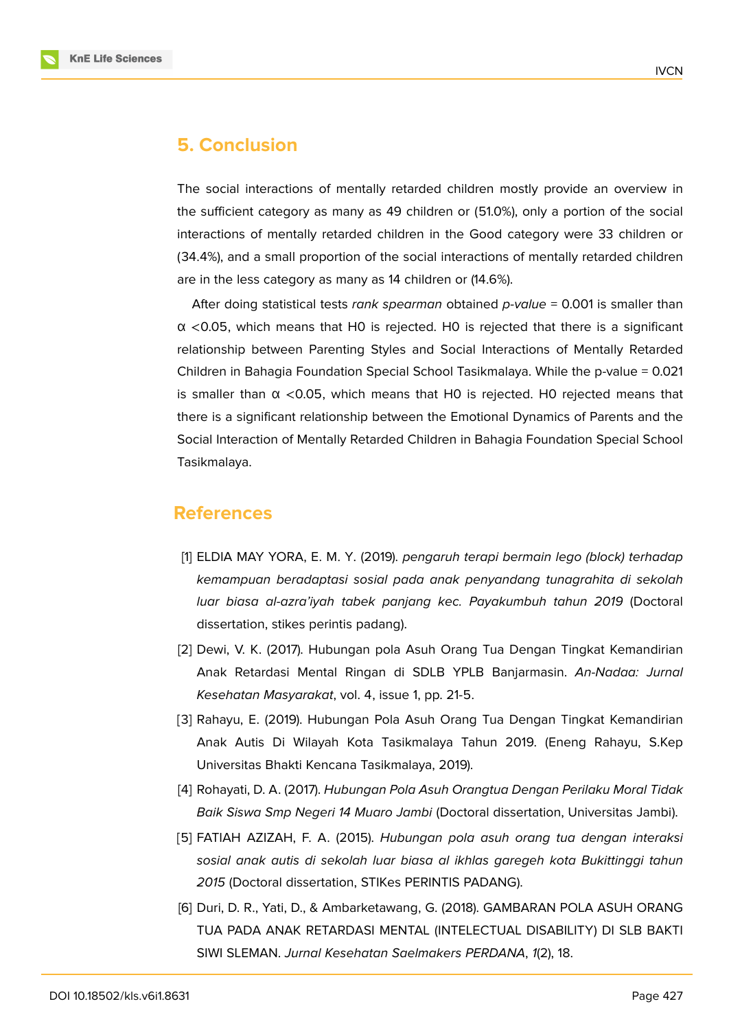

## **5. Conclusion**

The social interactions of mentally retarded children mostly provide an overview in the sufficient category as many as 49 children or (51.0%), only a portion of the social interactions of mentally retarded children in the Good category were 33 children or (34.4%), and a small proportion of the social interactions of mentally retarded children are in the less category as many as 14 children or (14.6%).

After doing statistical tests *rank spearman* obtained *p-value* = 0.001 is smaller than  $\alpha$  <0.05, which means that HO is rejected. HO is rejected that there is a significant relationship between Parenting Styles and Social Interactions of Mentally Retarded Children in Bahagia Foundation Special School Tasikmalaya. While the p-value = 0.021 is smaller than  $\alpha$  <0.05, which means that H0 is rejected. H0 rejected means that there is a significant relationship between the Emotional Dynamics of Parents and the Social Interaction of Mentally Retarded Children in Bahagia Foundation Special School Tasikmalaya.

## **References**

- <span id="page-12-0"></span>[1] ELDIA MAY YORA, E. M. Y. (2019). *pengaruh terapi bermain lego (block) terhadap kemampuan beradaptasi sosial pada anak penyandang tunagrahita di sekolah luar biasa al-azra'iyah tabek panjang kec. Payakumbuh tahun 2019* (Doctoral dissertation, stikes perintis padang).
- <span id="page-12-1"></span>[2] Dewi, V. K. (2017). Hubungan pola Asuh Orang Tua Dengan Tingkat Kemandirian Anak Retardasi Mental Ringan di SDLB YPLB Banjarmasin. *An-Nadaa: Jurnal Kesehatan Masyarakat*, vol. 4, issue 1, pp. 21-5.
- <span id="page-12-2"></span>[3] Rahayu, E. (2019). Hubungan Pola Asuh Orang Tua Dengan Tingkat Kemandirian Anak Autis Di Wilayah Kota Tasikmalaya Tahun 2019. (Eneng Rahayu, S.Kep Universitas Bhakti Kencana Tasikmalaya, 2019).
- <span id="page-12-3"></span>[4] Rohayati, D. A. (2017). *Hubungan Pola Asuh Orangtua Dengan Perilaku Moral Tidak Baik Siswa Smp Negeri 14 Muaro Jambi* (Doctoral dissertation, Universitas Jambi).
- <span id="page-12-4"></span>[5] FATIAH AZIZAH, F. A. (2015). *Hubungan pola asuh orang tua dengan interaksi sosial anak autis di sekolah luar biasa al ikhlas garegeh kota Bukittinggi tahun 2015* (Doctoral dissertation, STIKes PERINTIS PADANG).
- <span id="page-12-5"></span>[6] Duri, D. R., Yati, D., & Ambarketawang, G. (2018). GAMBARAN POLA ASUH ORANG TUA PADA ANAK RETARDASI MENTAL (INTELECTUAL DISABILITY) DI SLB BAKTI SIWI SLEMAN. *Jurnal Kesehatan Saelmakers PERDANA*, *1*(2), 18.